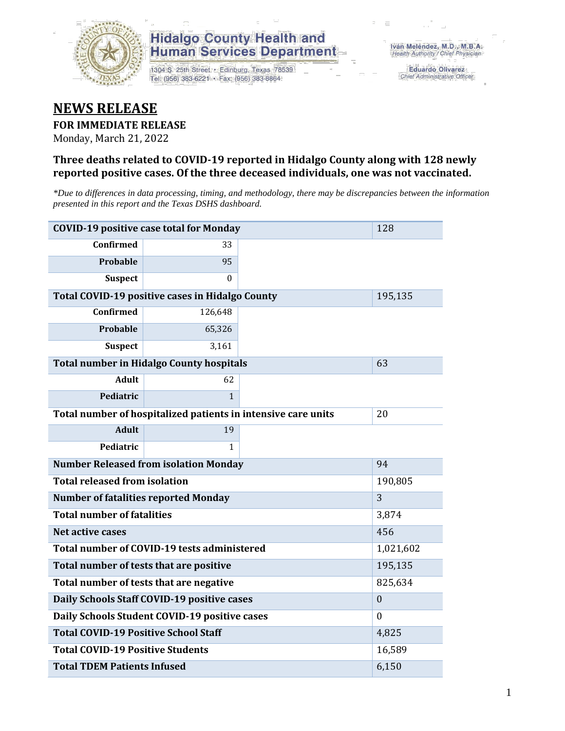

### **Hidalgo County Health and Human Services Department**

1304 S. 25th Street · Edinburg, Texas 78539 Tel: (956) 383-6221 · Fax: (956) 383-8864

**Eduardo Olivarez** Chief Administrative Officer

## **NEWS RELEASE**

#### **FOR IMMEDIATE RELEASE**

Monday, March 21, 2022

#### **Three deaths related to COVID-19 reported in Hidalgo County along with 128 newly reported positive cases. Of the three deceased individuals, one was not vaccinated.**

*\*Due to differences in data processing, timing, and methodology, there may be discrepancies between the information presented in this report and the Texas DSHS dashboard.*

| <b>COVID-19 positive case total for Monday</b><br>128         |                                                 |              |         |  |  |
|---------------------------------------------------------------|-------------------------------------------------|--------------|---------|--|--|
| <b>Confirmed</b>                                              | 33                                              |              |         |  |  |
| Probable                                                      | 95                                              |              |         |  |  |
| <b>Suspect</b>                                                | $\Omega$                                        |              |         |  |  |
|                                                               | Total COVID-19 positive cases in Hidalgo County |              | 195,135 |  |  |
| <b>Confirmed</b>                                              | 126,648                                         |              |         |  |  |
| Probable                                                      | 65,326                                          |              |         |  |  |
| <b>Suspect</b>                                                | 3,161                                           |              |         |  |  |
| <b>Total number in Hidalgo County hospitals</b>               |                                                 | 63           |         |  |  |
| <b>Adult</b>                                                  | 62                                              |              |         |  |  |
| Pediatric                                                     | $\mathbf{1}$                                    |              |         |  |  |
| Total number of hospitalized patients in intensive care units | 20                                              |              |         |  |  |
| <b>Adult</b>                                                  | 19                                              |              |         |  |  |
| Pediatric                                                     | 1                                               |              |         |  |  |
| <b>Number Released from isolation Monday</b><br>94            |                                                 |              |         |  |  |
| <b>Total released from isolation</b><br>190,805               |                                                 |              |         |  |  |
| <b>Number of fatalities reported Monday</b>                   |                                                 | 3            |         |  |  |
| <b>Total number of fatalities</b>                             |                                                 | 3,874        |         |  |  |
| Net active cases                                              |                                                 | 456          |         |  |  |
| Total number of COVID-19 tests administered                   | 1,021,602                                       |              |         |  |  |
| Total number of tests that are positive                       | 195,135                                         |              |         |  |  |
| Total number of tests that are negative                       |                                                 | 825,634      |         |  |  |
| Daily Schools Staff COVID-19 positive cases                   |                                                 | $\mathbf{0}$ |         |  |  |
| Daily Schools Student COVID-19 positive cases                 |                                                 | $\theta$     |         |  |  |
| <b>Total COVID-19 Positive School Staff</b>                   | 4,825                                           |              |         |  |  |
| <b>Total COVID-19 Positive Students</b>                       | 16,589                                          |              |         |  |  |
| <b>Total TDEM Patients Infused</b>                            |                                                 | 6,150        |         |  |  |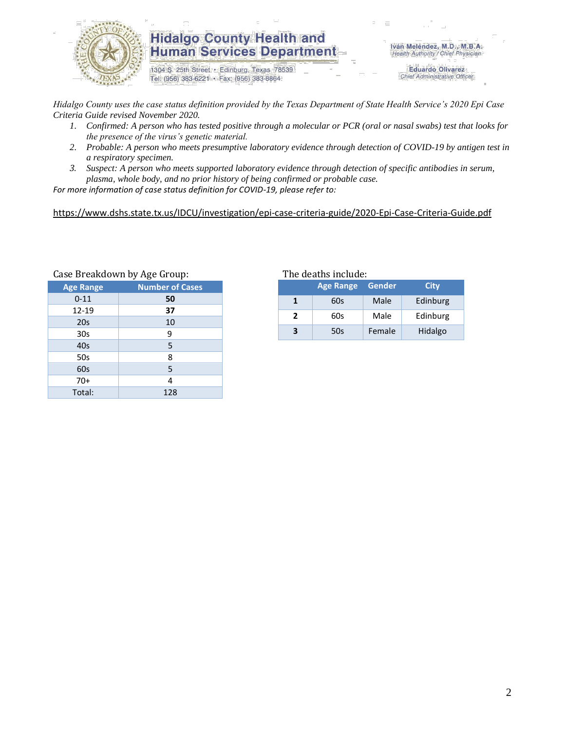

#### **Hidalgo County Health and Human Services Department**

1304 S. 25th Street · Edinburg, Texas 78539 Tel: (956) 383-6221 · Fax: (956) 383-8864

Iván Meléndez, M.D., M.B.A. Health Authority / Chief Physician

> **Eduardo Olivarez** Chief Administrative Officer

*Hidalgo County uses the case status definition provided by the Texas Department of State Health Service's 2020 Epi Case Criteria Guide revised November 2020.*

- *1. Confirmed: A person who has tested positive through a molecular or PCR (oral or nasal swabs) test that looks for the presence of the virus's genetic material.*
- *2. Probable: A person who meets presumptive laboratory evidence through detection of COVID-19 by antigen test in a respiratory specimen.*
- *3. Suspect: A person who meets supported laboratory evidence through detection of specific antibodies in serum, plasma, whole body, and no prior history of being confirmed or probable case.*

*For more information of case status definition for COVID-19, please refer to:*

<https://www.dshs.state.tx.us/IDCU/investigation/epi-case-criteria-guide/2020-Epi-Case-Criteria-Guide.pdf>

| Case Dieakdowii by Age Group: |                        |  |  |  |  |
|-------------------------------|------------------------|--|--|--|--|
| <b>Age Range</b>              | <b>Number of Cases</b> |  |  |  |  |
| $0 - 11$                      | 50                     |  |  |  |  |
| 12-19                         | 37                     |  |  |  |  |
| 20s                           | 10                     |  |  |  |  |
| 30 <sub>s</sub>               | 9                      |  |  |  |  |
| 40s                           | 5                      |  |  |  |  |
| 50s                           | 8                      |  |  |  |  |
| 60s                           | 5                      |  |  |  |  |
| $70+$                         | 4                      |  |  |  |  |
| Total:                        | 128                    |  |  |  |  |
|                               |                        |  |  |  |  |

## Breakdown by Age Group: The deaths include:

|                  | <b>Age Range</b> | Gender | City     |  |  |
|------------------|------------------|--------|----------|--|--|
|                  | 60s              | Male   | Edinburg |  |  |
| $\boldsymbol{z}$ | 60s              | Male   | Edinburg |  |  |
|                  | 50s              | Female | Hidalgo  |  |  |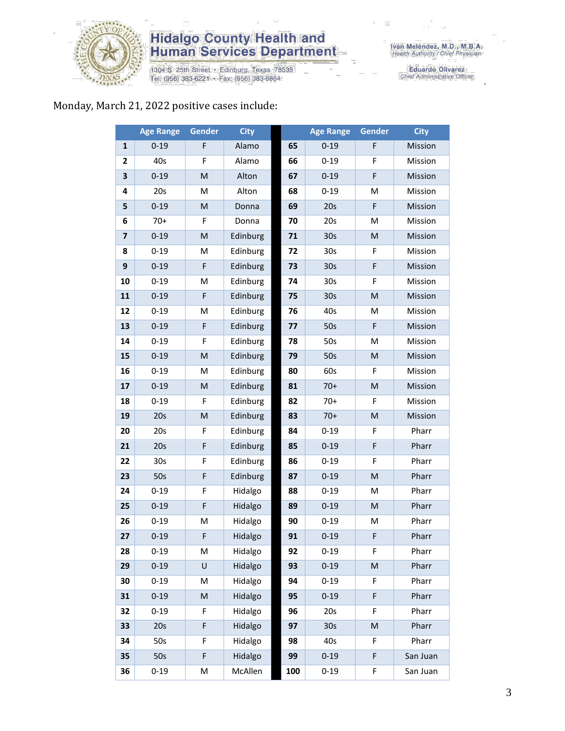

# **Hidalgo County Health and<br>Human Services Department**

1304 S. 25th Street • Edinburg, Texas 78539<br>Tel: (956) 383-6221 • Fax: (956) 383-8864

Eduardo Olivarez<br>Chief Administrative Officer

### Monday, March 21, 2022 positive cases include:

|                         | <b>Age Range</b> | <b>Gender</b>                                                                                              | <b>City</b> |     | <b>Age Range</b> | <b>Gender</b>                                                                                              | <b>City</b> |
|-------------------------|------------------|------------------------------------------------------------------------------------------------------------|-------------|-----|------------------|------------------------------------------------------------------------------------------------------------|-------------|
| $\mathbf{1}$            | $0 - 19$         | F                                                                                                          | Alamo       | 65  | $0 - 19$         | F                                                                                                          | Mission     |
| 2                       | 40s              | F                                                                                                          | Alamo       | 66  | $0 - 19$         | F                                                                                                          | Mission     |
| 3                       | $0 - 19$         | ${\sf M}$                                                                                                  | Alton       | 67  | $0 - 19$         | $\mathsf F$                                                                                                | Mission     |
| 4                       | 20s              | M                                                                                                          | Alton       | 68  | $0 - 19$         | M                                                                                                          | Mission     |
| 5                       | $0 - 19$         | M                                                                                                          | Donna       | 69  | 20s              | F                                                                                                          | Mission     |
| 6                       | $70+$            | F                                                                                                          | Donna       | 70  | 20s              | M                                                                                                          | Mission     |
| $\overline{\mathbf{z}}$ | $0 - 19$         | M                                                                                                          | Edinburg    | 71  | 30 <sub>s</sub>  | ${\sf M}$                                                                                                  | Mission     |
| 8                       | $0 - 19$         | M                                                                                                          | Edinburg    | 72  | 30s              | F                                                                                                          | Mission     |
| 9                       | $0 - 19$         | F                                                                                                          | Edinburg    | 73  | 30 <sub>s</sub>  | F                                                                                                          | Mission     |
| 10                      | $0 - 19$         | M                                                                                                          | Edinburg    | 74  | 30 <sub>s</sub>  | F                                                                                                          | Mission     |
| 11                      | $0 - 19$         | $\mathsf F$                                                                                                | Edinburg    | 75  | 30 <sub>s</sub>  | ${\sf M}$                                                                                                  | Mission     |
| 12                      | $0 - 19$         | M                                                                                                          | Edinburg    | 76  | 40s              | M                                                                                                          | Mission     |
| 13                      | $0 - 19$         | $\mathsf F$                                                                                                | Edinburg    | 77  | 50s              | $\mathsf F$                                                                                                | Mission     |
| 14                      | $0 - 19$         | F                                                                                                          | Edinburg    | 78  | 50s              | M                                                                                                          | Mission     |
| 15                      | $0 - 19$         | $\mathsf{M}% _{T}=\mathsf{M}_{T}\!\left( a,b\right) ,\ \mathsf{M}_{T}=\mathsf{M}_{T}\!\left( a,b\right) ,$ | Edinburg    | 79  | 50s              | $\mathsf{M}% _{T}=\mathsf{M}_{T}\!\left( a,b\right) ,\ \mathsf{M}_{T}=\mathsf{M}_{T}\!\left( a,b\right) ,$ | Mission     |
| 16                      | $0 - 19$         | M                                                                                                          | Edinburg    | 80  | 60s              | F                                                                                                          | Mission     |
| 17                      | $0 - 19$         | ${\sf M}$                                                                                                  | Edinburg    | 81  | $70+$            | ${\sf M}$                                                                                                  | Mission     |
| 18                      | $0 - 19$         | F                                                                                                          | Edinburg    | 82  | $70+$            | F                                                                                                          | Mission     |
| 19                      | 20s              | M                                                                                                          | Edinburg    | 83  | $70+$            | M                                                                                                          | Mission     |
| 20                      | 20s              | F                                                                                                          | Edinburg    | 84  | $0 - 19$         | F                                                                                                          | Pharr       |
| 21                      | 20s              | $\mathsf F$                                                                                                | Edinburg    | 85  | $0 - 19$         | F                                                                                                          | Pharr       |
| 22                      | 30 <sub>s</sub>  | F                                                                                                          | Edinburg    | 86  | $0 - 19$         | F                                                                                                          | Pharr       |
| 23                      | 50s              | $\mathsf F$                                                                                                | Edinburg    | 87  | $0 - 19$         | $\mathsf{M}% _{T}=\mathsf{M}_{T}\!\left( a,b\right) ,\ \mathsf{M}_{T}=\mathsf{M}_{T}\!\left( a,b\right) ,$ | Pharr       |
| 24                      | $0 - 19$         | F                                                                                                          | Hidalgo     | 88  | $0 - 19$         | M                                                                                                          | Pharr       |
| 25                      | $0 - 19$         | $\mathsf F$                                                                                                | Hidalgo     | 89  | $0 - 19$         | ${\sf M}$                                                                                                  | Pharr       |
| 26                      | $0 - 19$         | M                                                                                                          | Hidalgo     | 90  | $0 - 19$         | M                                                                                                          | Pharr       |
| 27                      | $0 - 19$         | F                                                                                                          | Hidalgo     | 91  | $0 - 19$         | F                                                                                                          | Pharr       |
| 28                      | $0 - 19$         | M                                                                                                          | Hidalgo     | 92  | $0 - 19$         | F.                                                                                                         | Pharr       |
| 29                      | $0 - 19$         | U                                                                                                          | Hidalgo     | 93  | $0 - 19$         | M                                                                                                          | Pharr       |
| 30                      | $0 - 19$         | M                                                                                                          | Hidalgo     | 94  | $0 - 19$         | F                                                                                                          | Pharr       |
| 31                      | $0 - 19$         | ${\sf M}$                                                                                                  | Hidalgo     | 95  | $0 - 19$         | F                                                                                                          | Pharr       |
| 32                      | $0 - 19$         | F                                                                                                          | Hidalgo     | 96  | 20s              | F                                                                                                          | Pharr       |
| 33                      | 20s              | $\mathsf F$                                                                                                | Hidalgo     | 97  | 30 <sub>s</sub>  | M                                                                                                          | Pharr       |
| 34                      | 50s              | F                                                                                                          | Hidalgo     | 98  | 40s              | F                                                                                                          | Pharr       |
| 35                      | 50s              | $\mathsf F$                                                                                                | Hidalgo     | 99  | $0 - 19$         | F                                                                                                          | San Juan    |
| 36                      | $0 - 19$         | М                                                                                                          | McAllen     | 100 | $0 - 19$         | F                                                                                                          | San Juan    |